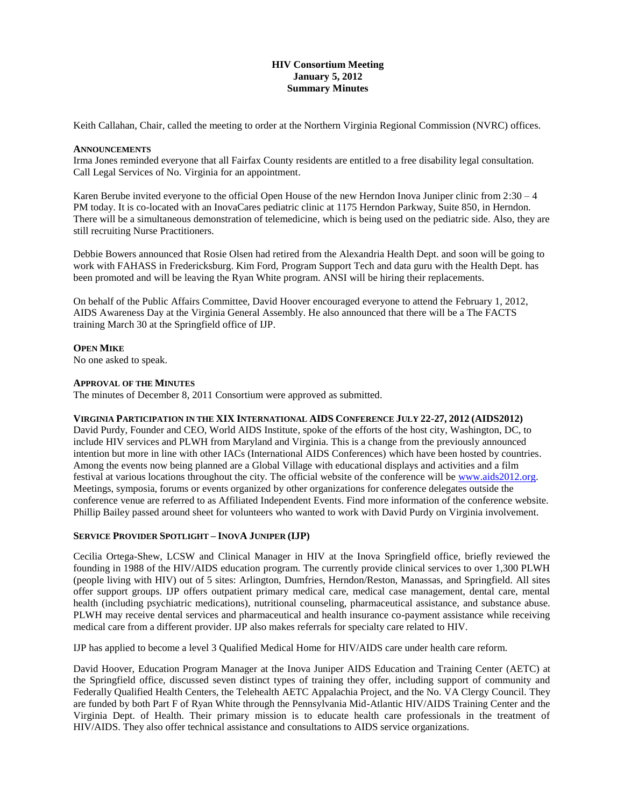# **HIV Consortium Meeting January 5, 2012 Summary Minutes**

Keith Callahan, Chair, called the meeting to order at the Northern Virginia Regional Commission (NVRC) offices.

### **ANNOUNCEMENTS**

Irma Jones reminded everyone that all Fairfax County residents are entitled to a free disability legal consultation. Call Legal Services of No. Virginia for an appointment.

Karen Berube invited everyone to the official Open House of the new Herndon Inova Juniper clinic from 2:30 – 4 PM today. It is co-located with an InovaCares pediatric clinic at 1175 Herndon Parkway, Suite 850, in Herndon. There will be a simultaneous demonstration of telemedicine, which is being used on the pediatric side. Also, they are still recruiting Nurse Practitioners.

Debbie Bowers announced that Rosie Olsen had retired from the Alexandria Health Dept. and soon will be going to work with FAHASS in Fredericksburg. Kim Ford, Program Support Tech and data guru with the Health Dept. has been promoted and will be leaving the Ryan White program. ANSI will be hiring their replacements.

On behalf of the Public Affairs Committee, David Hoover encouraged everyone to attend the February 1, 2012, AIDS Awareness Day at the Virginia General Assembly. He also announced that there will be a The FACTS training March 30 at the Springfield office of IJP.

# **OPEN MIKE**

No one asked to speak.

### **APPROVAL OF THE MINUTES**

The minutes of December 8, 2011 Consortium were approved as submitted.

# **VIRGINIA PARTICIPATION IN THE XIX INTERNATIONAL AIDS CONFERENCE JULY 22-27, 2012 (AIDS2012)**

David Purdy, Founder and CEO, World AIDS Institute, spoke of the efforts of the host city, Washington, DC, to include HIV services and PLWH from Maryland and Virginia. This is a change from the previously announced intention but more in line with other IACs (International AIDS Conferences) which have been hosted by countries. Among the events now being planned are a Global Village with educational displays and activities and a film festival at various locations throughout the city. The official website of the conference will b[e www.aids2012.org.](http://www.aids2012.org/) Meetings, symposia, forums or events organized by other organizations for conference delegates outside the conference venue are referred to as Affiliated Independent Events. Find more information of the conference website. Phillip Bailey passed around sheet for volunteers who wanted to work with David Purdy on Virginia involvement.

# **SERVICE PROVIDER SPOTLIGHT – INOVA JUNIPER (IJP)**

Cecilia Ortega-Shew, LCSW and Clinical Manager in HIV at the Inova Springfield office, briefly reviewed the founding in 1988 of the HIV/AIDS education program. The currently provide clinical services to over 1,300 PLWH (people living with HIV) out of 5 sites: Arlington, Dumfries, Herndon/Reston, Manassas, and Springfield. All sites offer support groups. IJP offers outpatient primary medical care, medical case management, dental care, mental health (including psychiatric medications), nutritional counseling, pharmaceutical assistance, and substance abuse. PLWH may receive dental services and pharmaceutical and health insurance co-payment assistance while receiving medical care from a different provider. IJP also makes referrals for specialty care related to HIV.

IJP has applied to become a level 3 Qualified Medical Home for HIV/AIDS care under health care reform.

David Hoover, Education Program Manager at the Inova Juniper AIDS Education and Training Center (AETC) at the Springfield office, discussed seven distinct types of training they offer, including support of community and Federally Qualified Health Centers, the Telehealth AETC Appalachia Project, and the No. VA Clergy Council. They are funded by both Part F of Ryan White through the Pennsylvania Mid-Atlantic HIV/AIDS Training Center and the Virginia Dept. of Health. Their primary mission is to educate health care professionals in the treatment of HIV/AIDS. They also offer technical assistance and consultations to AIDS service organizations.